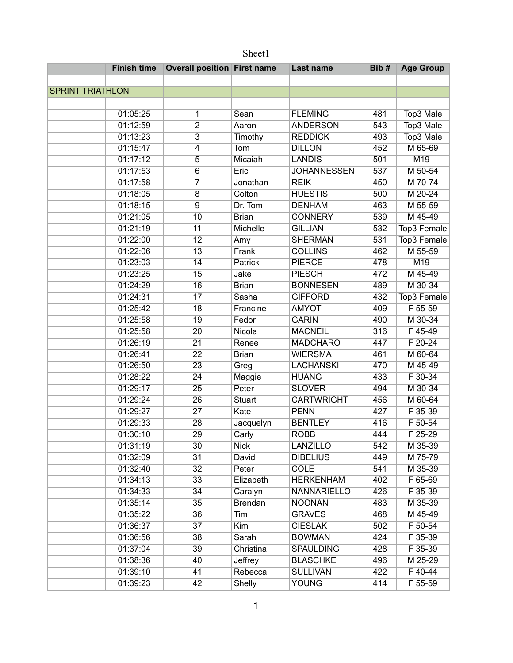| Sheet1                  |                                    |                |                    |      |                  |  |  |
|-------------------------|------------------------------------|----------------|--------------------|------|------------------|--|--|
| <b>Finish time</b>      | <b>Overall position First name</b> |                | Last name          | Bib# | <b>Age Group</b> |  |  |
|                         |                                    |                |                    |      |                  |  |  |
| <b>SPRINT TRIATHLON</b> |                                    |                |                    |      |                  |  |  |
|                         |                                    |                |                    |      |                  |  |  |
| 01:05:25                | 1                                  | Sean           | <b>FLEMING</b>     | 481  | Top3 Male        |  |  |
| 01:12:59                | $\overline{2}$                     | Aaron          | <b>ANDERSON</b>    | 543  | Top3 Male        |  |  |
| 01:13:23                | $\overline{3}$                     | Timothy        | <b>REDDICK</b>     | 493  | Top3 Male        |  |  |
| 01:15:47                | 4                                  | Tom            | <b>DILLON</b>      | 452  | M 65-69          |  |  |
| 01:17:12                | $\overline{5}$                     | Micaiah        | <b>LANDIS</b>      | 501  | $M19-$           |  |  |
| 01:17:53                | $\overline{6}$                     | Eric           | <b>JOHANNESSEN</b> | 537  | M 50-54          |  |  |
| 01:17:58                | $\overline{7}$                     | Jonathan       | <b>REIK</b>        | 450  | M 70-74          |  |  |
| 01:18:05                | $\overline{8}$                     | Colton         | <b>HUESTIS</b>     | 500  | M 20-24          |  |  |
| 01:18:15                | $\overline{9}$                     | Dr. Tom        | <b>DENHAM</b>      | 463  | M 55-59          |  |  |
| 01:21:05                | 10                                 | <b>Brian</b>   | <b>CONNERY</b>     | 539  | M 45-49          |  |  |
| 01:21:19                | 11                                 | Michelle       | <b>GILLIAN</b>     | 532  | Top3 Female      |  |  |
| 01:22:00                | $\overline{12}$                    | Amy            | <b>SHERMAN</b>     | 531  | Top3 Female      |  |  |
| 01:22:06                | $\overline{13}$                    | Frank          | <b>COLLINS</b>     | 462  | M 55-59          |  |  |
| 01:23:03                | 14                                 | <b>Patrick</b> | <b>PIERCE</b>      | 478  | $M19-$           |  |  |
| 01:23:25                | 15                                 | Jake           | <b>PIESCH</b>      | 472  | M 45-49          |  |  |
| 01:24:29                | 16                                 | <b>Brian</b>   | <b>BONNESEN</b>    | 489  | M 30-34          |  |  |
| 01:24:31                | $\overline{17}$                    | Sasha          | <b>GIFFORD</b>     | 432  | Top3 Female      |  |  |
| 01:25:42                | 18                                 | Francine       | <b>AMYOT</b>       | 409  | F 55-59          |  |  |
| 01:25:58                | 19                                 | Fedor          | <b>GARIN</b>       | 490  | M 30-34          |  |  |
| 01:25:58                | 20                                 | Nicola         | <b>MACNEIL</b>     | 316  | $F$ 45-49        |  |  |
| 01:26:19                | $\overline{21}$                    | Renee          | <b>MADCHARO</b>    | 447  | $F 20-24$        |  |  |
| 01:26:41                | $\overline{22}$                    | <b>Brian</b>   | <b>WIERSMA</b>     | 461  | M 60-64          |  |  |
| 01:26:50                | $\overline{23}$                    | Greg           | <b>LACHANSKI</b>   | 470  | M 45-49          |  |  |
| 01:28:22                | 24                                 | Maggie         | <b>HUANG</b>       | 433  | F 30-34          |  |  |
| 01:29:17                | $\overline{25}$                    | Peter          | <b>SLOVER</b>      | 494  | M 30-34          |  |  |
| 01:29:24                | 26                                 | <b>Stuart</b>  | <b>CARTWRIGHT</b>  | 456  | M 60-64          |  |  |
| 01:29:27                | $\overline{27}$                    | Kate           | <b>PENN</b>        | 427  | F 35-39          |  |  |
| 01:29:33                | $\overline{28}$                    | Jacquelyn      | <b>BENTLEY</b>     | 416  | F 50-54          |  |  |
| 01:30:10                | 29                                 | Carly          | <b>ROBB</b>        | 444  | F 25-29          |  |  |
| 01:31:19                | 30                                 | <b>Nick</b>    | <b>LANZILLO</b>    | 542  | M 35-39          |  |  |
| 01:32:09                | 31                                 | David          | <b>DIBELIUS</b>    | 449  | M 75-79          |  |  |
| 01:32:40                | 32                                 | Peter          | <b>COLE</b>        | 541  | M 35-39          |  |  |
| 01:34:13                | 33                                 | Elizabeth      | <b>HERKENHAM</b>   | 402  | F 65-69          |  |  |
| 01:34:33                | $\overline{34}$                    | Caralyn        | NANNARIELLO        | 426  | F 35-39          |  |  |
| 01:35:14                | 35                                 | <b>Brendan</b> | <b>NOONAN</b>      | 483  | M 35-39          |  |  |
| 01:35:22                | 36                                 | Tim            | <b>GRAVES</b>      | 468  | M 45-49          |  |  |
| 01:36:37                | 37                                 | Kim            | <b>CIESLAK</b>     | 502  | F 50-54          |  |  |
| 01:36:56                | 38                                 | Sarah          | <b>BOWMAN</b>      | 424  | F 35-39          |  |  |
| 01:37:04                | 39                                 | Christina      | <b>SPAULDING</b>   | 428  | F 35-39          |  |  |
| 01:38:36                | 40                                 | Jeffrey        | <b>BLASCHKE</b>    | 496  | M 25-29          |  |  |
| 01:39:10                | 41                                 | Rebecca        | <b>SULLIVAN</b>    | 422  | F 40-44          |  |  |
| 01:39:23                | 42                                 | <b>Shelly</b>  | <b>YOUNG</b>       | 414  | F 55-59          |  |  |

1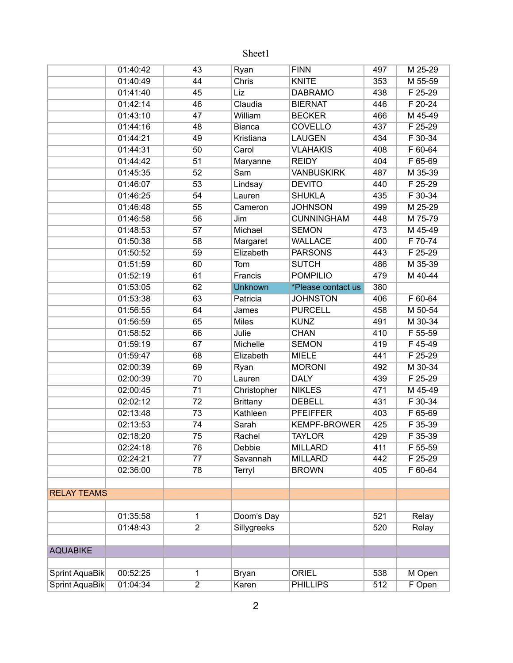|                       | 01:40:42 | 43              | Ryan            | <b>FINN</b>         | 497 | M 25-29   |
|-----------------------|----------|-----------------|-----------------|---------------------|-----|-----------|
|                       | 01:40:49 | 44              | Chris           | <b>KNITE</b>        | 353 | M 55-59   |
|                       | 01:41:40 | 45              | Liz             | <b>DABRAMO</b>      | 438 | F 25-29   |
|                       | 01:42:14 | 46              | Claudia         | <b>BIERNAT</b>      | 446 | F 20-24   |
|                       | 01:43:10 | 47              | William         | <b>BECKER</b>       | 466 | M 45-49   |
|                       | 01:44:16 | 48              | <b>Bianca</b>   | <b>COVELLO</b>      | 437 | $F$ 25-29 |
|                       | 01:44:21 | 49              | Kristiana       | <b>LAUGEN</b>       | 434 | $F$ 30-34 |
|                       | 01:44:31 | 50              | Carol           | <b>VLAHAKIS</b>     | 408 | $F 60-64$ |
|                       | 01:44:42 | $\overline{51}$ | Maryanne        | <b>REIDY</b>        | 404 | F 65-69   |
|                       | 01:45:35 | 52              | Sam             | <b>VANBUSKIRK</b>   | 487 | M 35-39   |
|                       | 01:46:07 | 53              | Lindsay         | <b>DEVITO</b>       | 440 | F 25-29   |
|                       | 01:46:25 | 54              | Lauren          | <b>SHUKLA</b>       | 435 | F 30-34   |
|                       | 01:46:48 | 55              | Cameron         | <b>JOHNSON</b>      | 499 | M 25-29   |
|                       | 01:46:58 | 56              | Jim             | <b>CUNNINGHAM</b>   | 448 | M 75-79   |
|                       | 01:48:53 | 57              | Michael         | <b>SEMON</b>        | 473 | M 45-49   |
|                       | 01:50:38 | 58              | Margaret        | <b>WALLACE</b>      | 400 | F 70-74   |
|                       | 01:50:52 | 59              | Elizabeth       | <b>PARSONS</b>      | 443 | $F$ 25-29 |
|                       | 01:51:59 | 60              | Tom             | <b>SUTCH</b>        | 486 | M 35-39   |
|                       | 01:52:19 | 61              | Francis         | <b>POMPILIO</b>     | 479 | M 40-44   |
|                       | 01:53:05 | 62              | <b>Unknown</b>  | *Please contact us  | 380 |           |
|                       | 01:53:38 | 63              | Patricia        | <b>JOHNSTON</b>     | 406 | F 60-64   |
|                       | 01:56:55 | 64              | James           | <b>PURCELL</b>      | 458 | M 50-54   |
|                       | 01:56:59 | 65              | <b>Miles</b>    | <b>KUNZ</b>         | 491 | M 30-34   |
|                       | 01:58:52 | 66              | Julie           | <b>CHAN</b>         | 410 | F 55-59   |
|                       | 01:59:19 | 67              | Michelle        | <b>SEMON</b>        | 419 | F45-49    |
|                       | 01:59:47 | 68              | Elizabeth       | <b>MIELE</b>        | 441 | F 25-29   |
|                       | 02:00:39 | 69              | Ryan            | <b>MORONI</b>       | 492 | M 30-34   |
|                       | 02:00:39 | 70              | Lauren          | <b>DALY</b>         | 439 | F 25-29   |
|                       | 02:00:45 | 71              | Christopher     | <b>NIKLES</b>       | 471 | M 45-49   |
|                       | 02:02:12 | $\overline{72}$ | <b>Brittany</b> | <b>DEBELL</b>       | 431 | F 30-34   |
|                       | 02:13:48 | 73              | Kathleen        | <b>PFEIFFER</b>     | 403 | F 65-69   |
|                       | 02:13:53 | $\overline{74}$ | Sarah           | <b>KEMPF-BROWER</b> | 425 | F 35-39   |
|                       | 02:18:20 | $\overline{75}$ | Rachel          | <b>TAYLOR</b>       | 429 | F 35-39   |
|                       | 02:24:18 | 76              | Debbie          | <b>MILLARD</b>      | 411 | F 55-59   |
|                       | 02:24:21 | $\overline{77}$ | Savannah        | <b>MILLARD</b>      | 442 | F 25-29   |
|                       | 02:36:00 | 78              | <b>Terryl</b>   | <b>BROWN</b>        | 405 | F 60-64   |
|                       |          |                 |                 |                     |     |           |
| <b>RELAY TEAMS</b>    |          |                 |                 |                     |     |           |
|                       |          |                 |                 |                     |     |           |
|                       | 01:35:58 | 1               | Doom's Day      |                     | 521 | Relay     |
|                       | 01:48:43 | $\overline{2}$  | Sillygreeks     |                     | 520 | Relay     |
|                       |          |                 |                 |                     |     |           |
| <b>AQUABIKE</b>       |          |                 |                 |                     |     |           |
|                       |          |                 |                 |                     |     |           |
| Sprint AquaBik        | 00:52:25 | 1               | Bryan           | <b>ORIEL</b>        | 538 | M Open    |
| <b>Sprint AquaBik</b> | 01:04:34 | $\overline{2}$  | Karen           | <b>PHILLIPS</b>     | 512 | F Open    |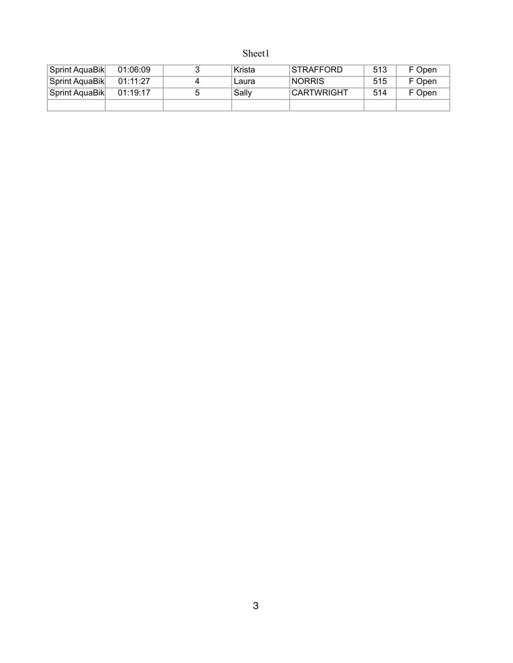| Sprint AquaBik | 01:06:09 | Krista | STRAFFORD         | 513 | F Open |
|----------------|----------|--------|-------------------|-----|--------|
| Sprint AquaBik | 01:11:27 | Laura  | <b>NORRIS</b>     | 515 | F Open |
| Sprint AquaBik | 01:19:17 | Sally  | <b>CARTWRIGHT</b> | 514 | F Open |
|                |          |        |                   |     |        |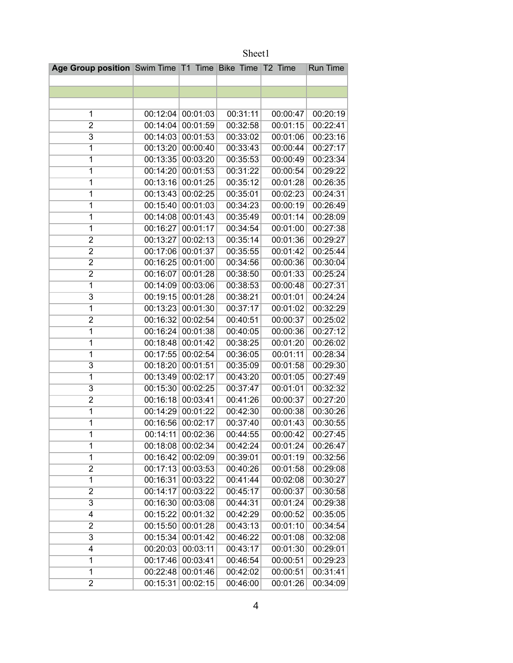| Age Group position Swim Time T1 Time Bike Time T2 Time |          |                   |          |          | <b>Run Time</b> |
|--------------------------------------------------------|----------|-------------------|----------|----------|-----------------|
|                                                        |          |                   |          |          |                 |
|                                                        |          |                   |          |          |                 |
|                                                        |          |                   |          |          |                 |
| 1                                                      |          | 00:12:04 00:01:03 | 00:31:11 | 00:00:47 | 00:20:19        |
| 2                                                      |          | 00:14:04 00:01:59 | 00:32:58 | 00:01:15 | 00:22:41        |
| $\overline{3}$                                         |          | 00:14:03 00:01:53 | 00:33:02 | 00:01:06 | 00:23:16        |
| 1                                                      |          | 00:13:20 00:00:40 | 00:33:43 | 00:00:44 | 00:27:17        |
| 1                                                      |          | 00:13:35 00:03:20 | 00:35:53 | 00:00:49 | 00:23:34        |
| $\overline{\mathbf{1}}$                                | 00:14:20 | 00:01:53          | 00:31:22 | 00:00:54 | 00:29:22        |
| $\overline{1}$                                         | 00:13:16 | 00:01:25          | 00:35:12 | 00:01:28 | 00:26:35        |
| $\overline{1}$                                         |          | 00:13:43 00:02:25 | 00:35:01 | 00:02:23 | 00:24:31        |
| 1                                                      |          | 00:15:40 00:01:03 | 00:34:23 | 00:00:19 | 00:26:49        |
| $\overline{1}$                                         |          | 00:14:08 00:01:43 | 00:35:49 | 00:01:14 | 00:28:09        |
| 1                                                      |          | 00:16:27 00:01:17 | 00:34:54 | 00:01:00 | 00:27:38        |
| $\overline{2}$                                         | 00:13:27 | 00:02:13          | 00:35:14 | 00:01:36 | 00:29:27        |
| $\overline{2}$                                         | 00:17:06 | 00:01:37          | 00:35:55 | 00:01:42 | 00:25:44        |
| $\overline{2}$                                         | 00:16:25 | 00:01:00          | 00:34:56 | 00:00:36 | 00:30:04        |
| $\overline{2}$                                         | 00:16:07 | 00:01:28          | 00:38:50 | 00:01:33 | 00:25:24        |
| $\overline{1}$                                         |          | 00:14:09 00:03:06 | 00:38:53 | 00:00:48 | 00:27:31        |
| $\overline{3}$                                         | 00:19:15 | 00:01:28          | 00:38:21 | 00:01:01 | 00:24:24        |
| 1                                                      |          | 00:13:23 00:01:30 | 00:37:17 | 00:01:02 | 00:32:29        |
| $\overline{2}$                                         |          | 00:16:32 00:02:54 | 00:40:51 | 00:00:37 | 00:25:02        |
| $\overline{1}$                                         | 00:16:24 | 00:01:38          | 00:40:05 | 00:00:36 | 00:27:12        |
| $\overline{1}$                                         | 00:18:48 | 00:01:42          | 00:38:25 | 00:01:20 | 00:26:02        |
| $\overline{1}$                                         | 00:17:55 | 00:02:54          | 00:36:05 | 00:01:11 | 00:28:34        |
| 3                                                      |          | 00:18:20 00:01:51 | 00:35:09 | 00:01:58 | 00:29:30        |
| 1                                                      | 00:13:49 | 00:02:17          | 00:43:20 | 00:01:05 | 00:27:49        |
| 3                                                      |          | 00:15:30 00:02:25 | 00:37:47 | 00:01:01 | 00:32:32        |
| $\overline{2}$                                         |          | 00:16:18 00:03:41 | 00:41:26 | 00:00:37 | 00:27:20        |
| $\overline{\mathbf{1}}$                                | 00:14:29 | 00:01:22          | 00:42:30 | 00:00:38 | 00:30:26        |
| 1                                                      | 00:16:56 | 00:02:17          | 00:37:40 | 00:01:43 | 00:30:55        |
| $\overline{1}$                                         |          | 00:14:11 00:02:36 | 00:44:55 | 00:00:42 | 00:27:45        |
| 1                                                      |          | 00:18:08 00:02:34 | 00:42:24 | 00:01:24 | 00:26:47        |
| 1                                                      |          | 00:16:42 00:02:09 | 00:39:01 | 00:01:19 | 00:32:56        |
| $\overline{2}$                                         | 00:17:13 | 00:03:53          | 00:40:26 | 00:01:58 | 00:29:08        |
| $\overline{1}$                                         |          | 00:16:31 00:03:22 | 00:41:44 | 00:02:08 | 00:30:27        |
| 2                                                      | 00:14:17 | 00:03:22          | 00:45:17 | 00:00:37 | 00:30:58        |
| 3                                                      |          | 00:16:30 00:03:08 | 00:44:31 | 00:01:24 | 00:29:38        |
| 4                                                      |          | 00:15:22 00:01:32 | 00:42:29 | 00:00:52 | 00:35:05        |
| 2                                                      |          | 00:15:50 00:01:28 | 00:43:13 | 00:01:10 | 00:34:54        |
| 3                                                      | 00:15:34 | 00:01:42          | 00:46:22 | 00:01:08 | 00:32:08        |
| 4                                                      | 00:20:03 | 00:03:11          | 00:43:17 | 00:01:30 | 00:29:01        |
| 1                                                      |          | 00:17:46 00:03:41 | 00:46:54 | 00:00:51 | 00:29:23        |
| 1                                                      |          | 00:22:48 00:01:46 | 00:42:02 | 00:00:51 | 00:31:41        |
| $\overline{\mathbf{c}}$                                | 00:15:31 | 00:02:15          | 00:46:00 | 00:01:26 | 00:34:09        |

Sheet1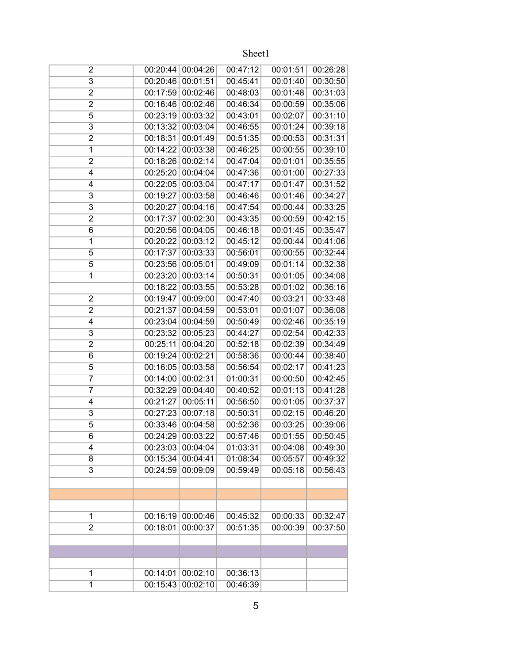| $\overline{2}$          |          | 00:20:44 00:04:26 | 00:47:12 | 00:01:51 | 00:26:28 |
|-------------------------|----------|-------------------|----------|----------|----------|
| $\overline{\mathbf{3}}$ | 00:20:46 | 00:01:51          | 00:45:41 | 00:01:40 | 00:30:50 |
| 2                       | 00:17:59 | 00:02:46          | 00:48:03 | 00:01:48 | 00:31:03 |
| $\overline{2}$          | 00:16:46 | 00:02:46          | 00:46:34 | 00:00:59 | 00:35:06 |
| 5                       | 00:23:19 | 00:03:32          | 00:43:01 | 00:02:07 | 00:31:10 |
| $\overline{3}$          | 00:13:32 | 00:03:04          | 00:46:55 | 00:01:24 | 00:39:18 |
| $\overline{2}$          | 00:18:31 | 00:01:49          | 00:51:35 | 00:00:53 | 00:31:31 |
| $\overline{1}$          | 00:14:22 | 00:03:38          | 00:46:25 | 00:00:55 | 00:39:10 |
| $\overline{2}$          | 00:18:26 | 00:02:14          | 00:47:04 | 00:01:01 | 00:35:55 |
| 4                       | 00:25:20 | 00:04:04          | 00:47:36 | 00:01:00 | 00:27:33 |
| 4                       | 00:22:05 | 00:03:04          | 00:47:17 | 00:01:47 | 00:31:52 |
| 3                       | 00:19:27 | 00:03:58          | 00:46:46 | 00:01:46 | 00:34:27 |
| $\overline{3}$          | 00:20:27 | 00:04:16          | 00:47:54 | 00:00:44 | 00:33:25 |
| 2                       | 00:17:37 | 00:02:30          | 00:43:35 | 00:00:59 | 00:42:15 |
| 6                       | 00:20:56 | 00:04:05          | 00:46:18 | 00:01:45 | 00:35:47 |
| 1                       | 00:20:22 | 00:03:12          | 00:45:12 | 00:00:44 | 00:41:06 |
| $\overline{5}$          | 00:17:37 | 00:03:33          | 00:56:01 | 00:00:55 | 00:32:44 |
| $\overline{5}$          | 00:23:56 | 00:05:01          | 00:49:09 | 00:01:14 | 00:32:38 |
| $\overline{1}$          | 00:23:20 | 00:03:14          | 00:50:31 | 00:01:05 | 00:34:08 |
|                         | 00:18:22 | 00:03:55          | 00:53:28 | 00:01:02 | 00:36:16 |
| $\overline{2}$          | 00:19:47 | 00:09:00          | 00:47:40 | 00:03:21 | 00:33:48 |
| $\overline{2}$          | 00:21:37 | 00:04:59          | 00:53:01 | 00:01:07 | 00:36:08 |
| 4                       | 00:23:04 | 00:04:59          | 00:50:49 | 00:02:46 | 00:35:19 |
| 3                       | 00:23:32 | 00:05:23          | 00:44:27 | 00:02:54 | 00:42:33 |
| $\overline{2}$          | 00:25:11 | 00:04:20          | 00:52:18 | 00:02:39 | 00:34:49 |
| $\overline{6}$          | 00:19:24 | 00:02:21          | 00:58:36 | 00:00:44 | 00:38:40 |
| 5                       | 00:16:05 | 00:03:58          | 00:56:54 | 00:02:17 | 00:41:23 |
| 7                       | 00:14:00 | 00:02:31          | 01:00:31 | 00:00:50 | 00:42:45 |
| $\overline{7}$          | 00:32:29 | 00:04:40          | 00:40:52 | 00:01:13 | 00:41:28 |
| 4                       | 00:21:27 | 00:05:11          | 00:56:50 | 00:01:05 | 00:37:37 |
| $\overline{3}$          | 00:27:23 | 00:07:18          | 00:50:31 | 00:02:15 | 00:46:20 |
| 5                       | 00:33:46 | 00:04:58          | 00:52:36 | 00:03:25 | 00:39:06 |
| 6                       |          | 00:24:29 00:03:22 | 00:57:46 | 00:01:55 | 00:50:45 |
| 4                       |          | 00:23:03 00:04:04 | 01:03:31 | 00:04:08 | 00:49:30 |
| 8                       | 00:15:34 | 00:04:41          | 01:08:34 | 00:05:57 | 00:49:32 |
| $\overline{3}$          | 00:24:59 | 00:09:09          | 00:59:49 | 00:05:18 | 00:56:43 |
|                         |          |                   |          |          |          |
|                         |          |                   |          |          |          |
|                         |          |                   |          |          |          |
| 1                       | 00:16:19 | 00:00:46          | 00:45:32 | 00:00:33 | 00:32:47 |
| $\overline{2}$          | 00:18:01 | 00:00:37          | 00:51:35 | 00:00:39 | 00:37:50 |
|                         |          |                   |          |          |          |
|                         |          |                   |          |          |          |
|                         |          |                   |          |          |          |
| 1                       | 00:14:01 | 00:02:10          | 00:36:13 |          |          |
| $\overline{1}$          | 00:15:43 | 00:02:10          | 00:46:39 |          |          |